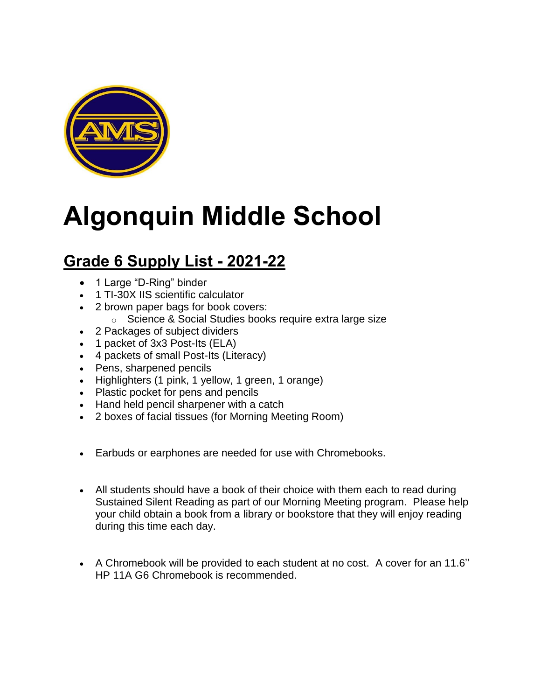

### **Algonquin Middle School**

### **Grade 6 Supply List - 2021-22**

- 1 Large "D-Ring" binder
- 1 TI-30X IIS scientific calculator
- 2 brown paper bags for book covers:
	- o Science & Social Studies books require extra large size
- 2 Packages of subject dividers
- 1 packet of 3x3 Post-Its (ELA)
- 4 packets of small Post-Its (Literacy)
- Pens, sharpened pencils
- Highlighters (1 pink, 1 yellow, 1 green, 1 orange)
- Plastic pocket for pens and pencils
- Hand held pencil sharpener with a catch
- 2 boxes of facial tissues (for Morning Meeting Room)
- Earbuds or earphones are needed for use with Chromebooks.
- All students should have a book of their choice with them each to read during Sustained Silent Reading as part of our Morning Meeting program. Please help your child obtain a book from a library or bookstore that they will enjoy reading during this time each day.
- A Chromebook will be provided to each student at no cost. A cover for an 11.6'' HP 11A G6 Chromebook is recommended.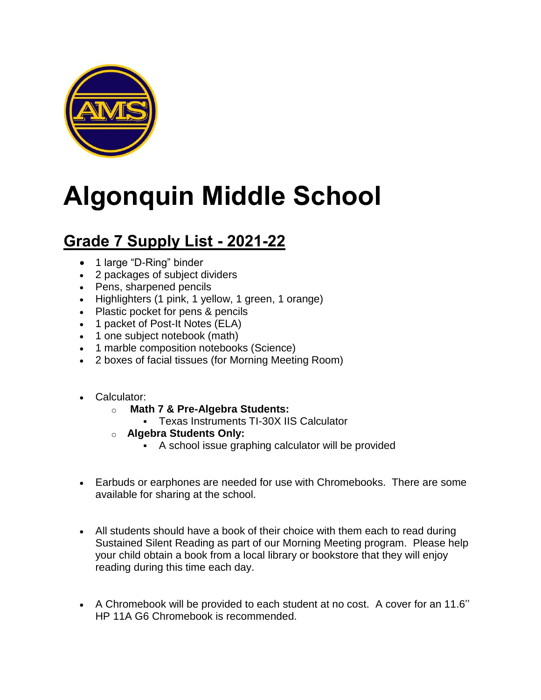

# **Algonquin Middle School**

#### **Grade 7 Supply List - 2021-22**

- 1 large "D-Ring" binder
- 2 packages of subject dividers
- Pens, sharpened pencils
- Highlighters (1 pink, 1 yellow, 1 green, 1 orange)
- Plastic pocket for pens & pencils
- 1 packet of Post-It Notes (ELA)
- 1 one subject notebook (math)
- 1 marble composition notebooks (Science)
- 2 boxes of facial tissues (for Morning Meeting Room)
- Calculator:
	- o **Math 7 & Pre-Algebra Students:**
		- Texas Instruments TI-30X IIS Calculator
	- o **Algebra Students Only:**
		- A school issue graphing calculator will be provided
- Earbuds or earphones are needed for use with Chromebooks. There are some available for sharing at the school.
- All students should have a book of their choice with them each to read during Sustained Silent Reading as part of our Morning Meeting program. Please help your child obtain a book from a local library or bookstore that they will enjoy reading during this time each day.
- A Chromebook will be provided to each student at no cost. A cover for an 11.6'' HP 11A G6 Chromebook is recommended.